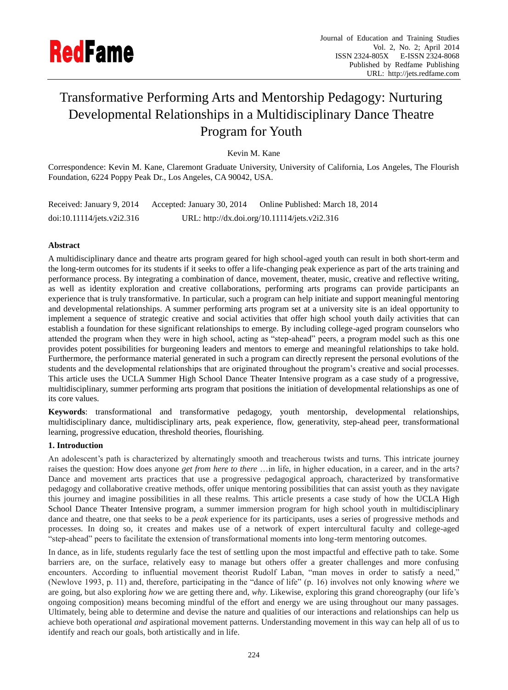

# Transformative Performing Arts and Mentorship Pedagogy: Nurturing Developmental Relationships in a Multidisciplinary Dance Theatre Program for Youth

Kevin M. Kane

Correspondence: Kevin M. Kane, Claremont Graduate University, University of California, Los Angeles, The Flourish Foundation, 6224 Poppy Peak Dr., Los Angeles, CA 90042, USA.

| Received: January 9, 2014  | Accepted: January 30, 2014                    | Online Published: March 18, 2014 |
|----------------------------|-----------------------------------------------|----------------------------------|
| doi:10.11114/jets.v2i2.316 | URL: http://dx.doi.org/10.11114/jets.v2i2.316 |                                  |

## **Abstract**

A multidisciplinary dance and theatre arts program geared for high school-aged youth can result in both short-term and the long-term outcomes for its students if it seeks to offer a life-changing peak experience as part of the arts training and performance process. By integrating a combination of dance, movement, theater, music, creative and reflective writing, as well as identity exploration and creative collaborations, performing arts programs can provide participants an experience that is truly transformative. In particular, such a program can help initiate and support meaningful mentoring and developmental relationships. A summer performing arts program set at a university site is an ideal opportunity to implement a sequence of strategic creative and social activities that offer high school youth daily activities that can establish a foundation for these significant relationships to emerge. By including college-aged program counselors who attended the program when they were in high school, acting as "step-ahead" peers, a program model such as this one provides potent possibilities for burgeoning leaders and mentors to emerge and meaningful relationships to take hold. Furthermore, the performance material generated in such a program can directly represent the personal evolutions of the students and the developmental relationships that are originated throughout the program's creative and social processes. This article uses the UCLA Summer High School Dance Theater Intensive program as a case study of a progressive, multidisciplinary, summer performing arts program that positions the initiation of developmental relationships as one of its core values.

**Keywords**: transformational and transformative pedagogy, youth mentorship, developmental relationships, multidisciplinary dance, multidisciplinary arts, peak experience, flow, generativity, step-ahead peer, transformational learning, progressive education, threshold theories, flourishing.

## **1. Introduction**

An adolescent's path is characterized by alternatingly smooth and treacherous twists and turns. This intricate journey raises the question: How does anyone *get from here to there* ...in life, in higher education, in a career, and in the arts? Dance and movement arts practices that use a progressive pedagogical approach, characterized by transformative pedagogy and collaborative creative methods, offer unique mentoring possibilities that can assist youth as they navigate this journey and imagine possibilities in all these realms. This article presents a case study of how the UCLA High School Dance Theater Intensive program, a summer immersion program for high school youth in multidisciplinary dance and theatre, one that seeks to be a *peak* experience for its participants, uses a series of progressive methods and processes. In doing so, it creates and makes use of a network of expert intercultural faculty and college-aged ―step-ahead‖ peers to facilitate the extension of transformational moments into long-term mentoring outcomes.

In dance, as in life, students regularly face the test of settling upon the most impactful and effective path to take. Some barriers are, on the surface, relatively easy to manage but others offer a greater challenges and more confusing encounters. According to influential movement theorist Rudolf Laban, "man moves in order to satisfy a need," (Newlove 1993, p. 11) and, therefore, participating in the "dance of life" (p. 16) involves not only knowing *where* we are going, but also exploring *how* we are getting there and, *why*. Likewise, exploring this grand choreography (our life's ongoing composition) means becoming mindful of the effort and energy we are using throughout our many passages. Ultimately, being able to determine and devise the nature and qualities of our interactions and relationships can help us achieve both operational *and* aspirational movement patterns. Understanding movement in this way can help all of us to identify and reach our goals, both artistically and in life.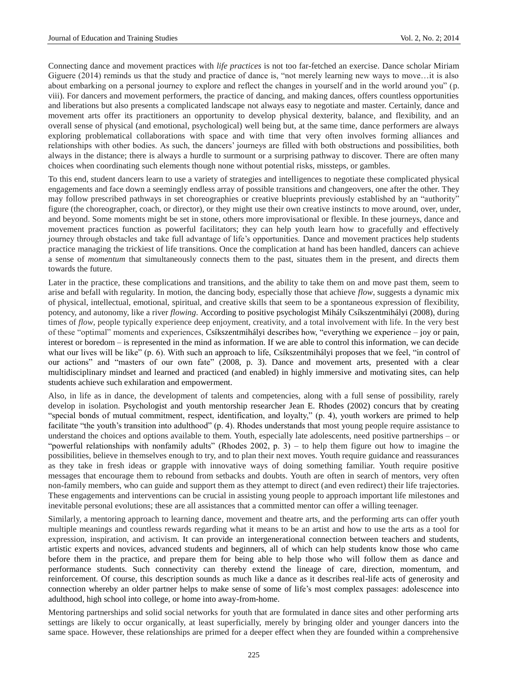Connecting dance and movement practices with *life practices* is not too far-fetched an exercise. Dance scholar Miriam Giguere (2014) reminds us that the study and practice of dance is, "not merely learning new ways to move…it is also about embarking on a personal journey to explore and reflect the changes in yourself and in the world around you" (p. viii). For dancers and movement performers, the practice of dancing, and making dances, offers countless opportunities and liberations but also presents a complicated landscape not always easy to negotiate and master. Certainly, dance and movement arts offer its practitioners an opportunity to develop physical dexterity, balance, and flexibility, and an overall sense of physical (and emotional, psychological) well being but, at the same time, dance performers are always exploring problematical collaborations with space and with time that very often involves forming alliances and relationships with other bodies. As such, the dancers' journeys are filled with both obstructions and possibilities, both always in the distance; there is always a hurdle to surmount or a surprising pathway to discover. There are often many choices when coordinating such elements though none without potential risks, missteps, or gambles.

To this end, student dancers learn to use a variety of strategies and intelligences to negotiate these complicated physical engagements and face down a seemingly endless array of possible transitions and changeovers, one after the other. They may follow prescribed pathways in set choreographies or creative blueprints previously established by an "authority" figure (the choreographer, coach, or director), or they might use their own creative instincts to move around, over, under, and beyond. Some moments might be set in stone, others more improvisational or flexible. In these journeys, dance and movement practices function as powerful facilitators; they can help youth learn how to gracefully and effectively journey through obstacles and take full advantage of life's opportunities. Dance and movement practices help students practice managing the trickiest of life transitions. Once the complication at hand has been handled, dancers can achieve a sense of *momentum* that simultaneously connects them to the past, situates them in the present, and directs them towards the future.

Later in the practice, these complications and transitions, and the ability to take them on and move past them, seem to arise and befall with regularity. In motion, the dancing body, especially those that achieve *flow*, suggests a dynamic mix of physical, intellectual, emotional, spiritual, and creative skills that seem to be a spontaneous expression of flexibility, potency, and autonomy, like a river *flowing*. According to positive psychologist Mihály Cs kszentmihályi (2008), during times of *flow*, people typically experience deep enjoyment, creativity, and a total involvement with life. In the very best of these "optimal" moments and experiences, Cs kszentmihályi describes how, "everything we experience – joy or pain, interest or boredom – is represented in the mind as information. If we are able to control this information, we can decide what our lives will be like" (p. 6). With such an approach to life, Cs kszentmihályi proposes that we feel, "in control of our actions" and "masters of our own fate" (2008, p. 3). Dance and movement arts, presented with a clear multidisciplinary mindset and learned and practiced (and enabled) in highly immersive and motivating sites, can help students achieve such exhilaration and empowerment.

Also, in life as in dance, the development of talents and competencies, along with a full sense of possibility, rarely develop in isolation. Psychologist and youth mentorship researcher Jean E. Rhodes (2002) concurs that by creating ―special bonds of mutual commitment, respect, identification, and loyalty,‖ (p. 4), youth workers are primed to help facilitate "the youth's transition into adulthood" (p. 4). Rhodes understands that most young people require assistance to understand the choices and options available to them. Youth, especially late adolescents, need positive partnerships – or "powerful relationships with nonfamily adults" (Rhodes 2002, p. 3) – to help them figure out how to imagine the possibilities, believe in themselves enough to try, and to plan their next moves. Youth require guidance and reassurances as they take in fresh ideas or grapple with innovative ways of doing something familiar. Youth require positive messages that encourage them to rebound from setbacks and doubts. Youth are often in search of mentors, very often non-family members, who can guide and support them as they attempt to direct (and even redirect) their life trajectories. These engagements and interventions can be crucial in assisting young people to approach important life milestones and inevitable personal evolutions; these are all assistances that a committed mentor can offer a willing teenager.

Similarly, a mentoring approach to learning dance, movement and theatre arts, and the performing arts can offer youth multiple meanings and countless rewards regarding what it means to be an artist and how to use the arts as a tool for expression, inspiration, and activism. It can provide an intergenerational connection between teachers and students, artistic experts and novices, advanced students and beginners, all of which can help students know those who came before them in the practice, and prepare them for being able to help those who will follow them as dance and performance students. Such connectivity can thereby extend the lineage of care, direction, momentum, and reinforcement. Of course, this description sounds as much like a dance as it describes real-life acts of generosity and connection whereby an older partner helps to make sense of some of life's most complex passages: adolescence into adulthood, high school into college, or home into away-from-home.

Mentoring partnerships and solid social networks for youth that are formulated in dance sites and other performing arts settings are likely to occur organically, at least superficially, merely by bringing older and younger dancers into the same space. However, these relationships are primed for a deeper effect when they are founded within a comprehensive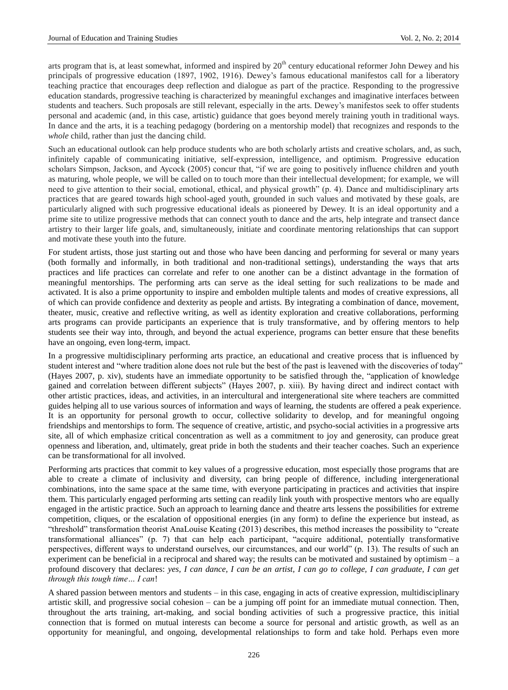arts program that is, at least somewhat, informed and inspired by  $20<sup>th</sup>$  century educational reformer John Dewey and his principals of progressive education (1897, 1902, 1916). Dewey's famous educational manifestos call for a liberatory teaching practice that encourages deep reflection and dialogue as part of the practice. Responding to the progressive education standards, progressive teaching is characterized by meaningful exchanges and imaginative interfaces between students and teachers. Such proposals are still relevant, especially in the arts. Dewey's manifestos seek to offer students personal and academic (and, in this case, artistic) guidance that goes beyond merely training youth in traditional ways. In dance and the arts, it is a teaching pedagogy (bordering on a mentorship model) that recognizes and responds to the *whole* child, rather than just the dancing child.

Such an educational outlook can help produce students who are both scholarly artists and creative scholars, and, as such, infinitely capable of communicating initiative, self-expression, intelligence, and optimism. Progressive education scholars Simpson, Jackson, and Aycock (2005) concur that, "if we are going to positively influence children and youth as maturing, whole people, we will be called on to touch more than their intellectual development; for example, we will need to give attention to their social, emotional, ethical, and physical growth" (p. 4). Dance and multidisciplinary arts practices that are geared towards high school-aged youth, grounded in such values and motivated by these goals, are particularly aligned with such progressive educational ideals as pioneered by Dewey. It is an ideal opportunity and a prime site to utilize progressive methods that can connect youth to dance and the arts, help integrate and transect dance artistry to their larger life goals, and, simultaneously, initiate and coordinate mentoring relationships that can support and motivate these youth into the future.

For student artists, those just starting out and those who have been dancing and performing for several or many years (both formally and informally, in both traditional and non-traditional settings), understanding the ways that arts practices and life practices can correlate and refer to one another can be a distinct advantage in the formation of meaningful mentorships. The performing arts can serve as the ideal setting for such realizations to be made and activated. It is also a prime opportunity to inspire and embolden multiple talents and modes of creative expressions, all of which can provide confidence and dexterity as people and artists. By integrating a combination of dance, movement, theater, music, creative and reflective writing, as well as identity exploration and creative collaborations, performing arts programs can provide participants an experience that is truly transformative, and by offering mentors to help students see their way into, through, and beyond the actual experience, programs can better ensure that these benefits have an ongoing, even long-term, impact.

In a progressive multidisciplinary performing arts practice, an educational and creative process that is influenced by student interest and "where tradition alone does not rule but the best of the past is leavened with the discoveries of today" (Hayes 2007, p. xiv), students have an immediate opportunity to be satisfied through the, "application of knowledge gained and correlation between different subjects" (Hayes 2007, p. xiii). By having direct and indirect contact with other artistic practices, ideas, and activities, in an intercultural and intergenerational site where teachers are committed guides helping all to use various sources of information and ways of learning, the students are offered a peak experience. It is an opportunity for personal growth to occur, collective solidarity to develop, and for meaningful ongoing friendships and mentorships to form. The sequence of creative, artistic, and psycho-social activities in a progressive arts site, all of which emphasize critical concentration as well as a commitment to joy and generosity, can produce great openness and liberation, and, ultimately, great pride in both the students and their teacher coaches. Such an experience can be transformational for all involved.

Performing arts practices that commit to key values of a progressive education, most especially those programs that are able to create a climate of inclusivity and diversity, can bring people of difference, including intergenerational combinations, into the same space at the same time, with everyone participating in practices and activities that inspire them. This particularly engaged performing arts setting can readily link youth with prospective mentors who are equally engaged in the artistic practice. Such an approach to learning dance and theatre arts lessens the possibilities for extreme competition, cliques, or the escalation of oppositional energies (in any form) to define the experience but instead, as ―threshold‖ transformation theorist AnaLouise Keating (2013) describes, this method increases the possibility to ―create transformational alliances" (p. 7) that can help each participant, "acquire additional, potentially transformative perspectives, different ways to understand ourselves, our circumstances, and our world" (p. 13). The results of such an experiment can be beneficial in a reciprocal and shared way; the results can be motivated and sustained by optimism – a profound discovery that declares: *yes, I can dance, I can be an artist, I can go to college, I can graduate, I can get through this tough time… I can*!

A shared passion between mentors and students – in this case, engaging in acts of creative expression, multidisciplinary artistic skill, and progressive social cohesion – can be a jumping off point for an immediate mutual connection. Then, throughout the arts training, art-making, and social bonding activities of such a progressive practice, this initial connection that is formed on mutual interests can become a source for personal and artistic growth, as well as an opportunity for meaningful, and ongoing, developmental relationships to form and take hold. Perhaps even more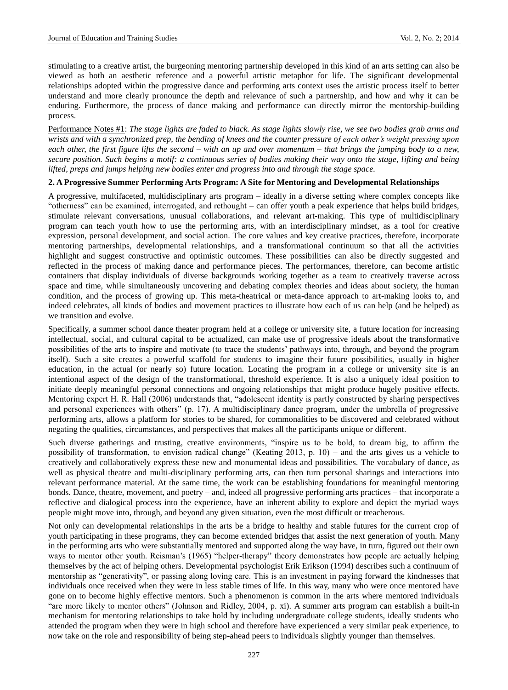stimulating to a creative artist, the burgeoning mentoring partnership developed in this kind of an arts setting can also be viewed as both an aesthetic reference and a powerful artistic metaphor for life. The significant developmental relationships adopted within the progressive dance and performing arts context uses the artistic process itself to better understand and more clearly pronounce the depth and relevance of such a partnership, and how and why it can be enduring. Furthermore, the process of dance making and performance can directly mirror the mentorship-building process.

Performance Notes #1: *The stage lights are faded to black. As stage lights slowly rise, we see two bodies grab arms and wrists and with a synchronized prep, the bending of knees and the counter pressure of each other's weight pressing upon each other, the first figure lifts the second – with an up and over momentum – that brings the jumping body to a new, secure position. Such begins a motif: a continuous series of bodies making their way onto the stage, lifting and being lifted, preps and jumps helping new bodies enter and progress into and through the stage space.*

#### **2. A Progressive Summer Performing Arts Program: A Site for Mentoring and Developmental Relationships**

A progressive, multifaceted, multidisciplinary arts program – ideally in a diverse setting where complex concepts like "otherness" can be examined, interrogated, and rethought – can offer youth a peak experience that helps build bridges, stimulate relevant conversations, unusual collaborations, and relevant art-making. This type of multidisciplinary program can teach youth how to use the performing arts, with an interdisciplinary mindset, as a tool for creative expression, personal development, and social action. The core values and key creative practices, therefore, incorporate mentoring partnerships, developmental relationships, and a transformational continuum so that all the activities highlight and suggest constructive and optimistic outcomes. These possibilities can also be directly suggested and reflected in the process of making dance and performance pieces. The performances, therefore, can become artistic containers that display individuals of diverse backgrounds working together as a team to creatively traverse across space and time, while simultaneously uncovering and debating complex theories and ideas about society, the human condition, and the process of growing up. This meta-theatrical or meta-dance approach to art-making looks to, and indeed celebrates, all kinds of bodies and movement practices to illustrate how each of us can help (and be helped) as we transition and evolve.

Specifically, a summer school dance theater program held at a college or university site, a future location for increasing intellectual, social, and cultural capital to be actualized, can make use of progressive ideals about the transformative possibilities of the arts to inspire and motivate (to trace the students' pathways into, through, and beyond the program itself). Such a site creates a powerful scaffold for students to imagine their future possibilities, usually in higher education, in the actual (or nearly so) future location. Locating the program in a college or university site is an intentional aspect of the design of the transformational, threshold experience. It is also a uniquely ideal position to initiate deeply meaningful personal connections and ongoing relationships that might produce hugely positive effects. Mentoring expert H. R. Hall (2006) understands that, "adolescent identity is partly constructed by sharing perspectives and personal experiences with others" (p. 17). A multidisciplinary dance program, under the umbrella of progressive performing arts, allows a platform for stories to be shared, for commonalities to be discovered and celebrated without negating the qualities, circumstances, and perspectives that makes all the participants unique or different.

Such diverse gatherings and trusting, creative environments, "inspire us to be bold, to dream big, to affirm the possibility of transformation, to envision radical change" (Keating 2013, p. 10) – and the arts gives us a vehicle to creatively and collaboratively express these new and monumental ideas and possibilities. The vocabulary of dance, as well as physical theatre and multi-disciplinary performing arts, can then turn personal sharings and interactions into relevant performance material. At the same time, the work can be establishing foundations for meaningful mentoring bonds. Dance, theatre, movement, and poetry – and, indeed all progressive performing arts practices – that incorporate a reflective and dialogical process into the experience, have an inherent ability to explore and depict the myriad ways people might move into, through, and beyond any given situation, even the most difficult or treacherous.

Not only can developmental relationships in the arts be a bridge to healthy and stable futures for the current crop of youth participating in these programs, they can become extended bridges that assist the next generation of youth. Many in the performing arts who were substantially mentored and supported along the way have, in turn, figured out their own ways to mentor other youth. Reisman's (1965) "helper-therapy" theory demonstrates how people are actually helping themselves by the act of helping others. Developmental psychologist Erik Erikson (1994) describes such a continuum of mentorship as "generativity", or passing along loving care. This is an investment in paying forward the kindnesses that individuals once received when they were in less stable times of life. In this way, many who were once mentored have gone on to become highly effective mentors. Such a phenomenon is common in the arts where mentored individuals "are more likely to mentor others" (Johnson and Ridley, 2004, p. xi). A summer arts program can establish a built-in mechanism for mentoring relationships to take hold by including undergraduate college students, ideally students who attended the program when they were in high school and therefore have experienced a very similar peak experience, to now take on the role and responsibility of being step-ahead peers to individuals slightly younger than themselves.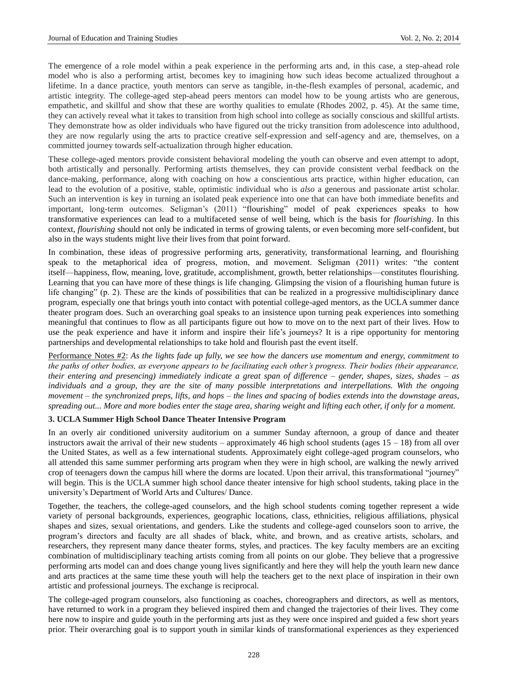The emergence of a role model within a peak experience in the performing arts and, in this case, a step-ahead role model who is also a performing artist, becomes key to imagining how such ideas become actualized throughout a lifetime. In a dance practice, youth mentors can serve as tangible, in-the-flesh examples of personal, academic, and artistic integrity. The college-aged step-ahead peers mentors can model how to be young artists who are generous, empathetic, and skillful and show that these are worthy qualities to emulate (Rhodes 2002, p. 45). At the same time, they can actively reveal what it takes to transition from high school into college as socially conscious and skillful artists. They demonstrate how as older individuals who have figured out the tricky transition from adolescence into adulthood, they are now regularly using the arts to practice creative self-expression and self-agency and are, themselves, on a committed journey towards self-actualization through higher education.

These college-aged mentors provide consistent behavioral modeling the youth can observe and even attempt to adopt, both artistically and personally. Performing artists themselves, they can provide consistent verbal feedback on the dance-making, performance, along with coaching on how a conscientious arts practice, within higher education, can lead to the evolution of a positive, stable, optimistic individual who is *also* a generous and passionate artist scholar. Such an intervention is key in turning an isolated peak experience into one that can have both immediate benefits and important, long-term outcomes. Seligman's (2011) "flourishing" model of peak experiences speaks to how transformative experiences can lead to a multifaceted sense of well being, which is the basis for *flourishing*. In this context, *flourishing* should not only be indicated in terms of growing talents, or even becoming more self-confident, but also in the ways students might live their lives from that point forward.

In combination, these ideas of progressive performing arts, generativity, transformational learning, and flourishing speak to the metaphorical idea of progress, motion, and movement. Seligman (2011) writes: "the content itself—happiness, flow, meaning, love, gratitude, accomplishment, growth, better relationships—constitutes flourishing. Learning that you can have more of these things is life changing. Glimpsing the vision of a flourishing human future is life changing" (p. 2). These are the kinds of possibilities that can be realized in a progressive multidisciplinary dance program, especially one that brings youth into contact with potential college-aged mentors, as the UCLA summer dance theater program does. Such an overarching goal speaks to an insistence upon turning peak experiences into something meaningful that continues to flow as all participants figure out how to move on to the next part of their lives. How to use the peak experience and have it inform and inspire their life's journeys? It is a ripe opportunity for mentoring partnerships and developmental relationships to take hold and flourish past the event itself.

Performance Notes #2: *As the lights fade up fully, we see how the dancers use momentum and energy, commitment to the paths of other bodies, as everyone appears to be facilitating each other's progress. Their bodies (their appearance, their entering and presencing) immediately indicate a great span of difference – gender, shapes, sizes, shades – as individuals and a group, they are the site of many possible interpretations and interpellations. With the ongoing movement – the synchronized preps, lifts, and hops – the lines and spacing of bodies extends into the downstage areas, spreading out... More and more bodies enter the stage area, sharing weight and lifting each other, if only for a moment.*

### **3. UCLA Summer High School Dance Theater Intensive Program**

In an overly air conditioned university auditorium on a summer Sunday afternoon, a group of dance and theater instructors await the arrival of their new students – approximately 46 high school students (ages  $15 - 18$ ) from all over the United States, as well as a few international students. Approximately eight college-aged program counselors, who all attended this same summer performing arts program when they were in high school, are walking the newly arrived crop of teenagers down the campus hill where the dorms are located. Upon their arrival, this transformational "journey" will begin. This is the UCLA summer high school dance theater intensive for high school students, taking place in the university's Department of World Arts and Cultures/ Dance.

Together, the teachers, the college-aged counselors, and the high school students coming together represent a wide variety of personal backgrounds, experiences, geographic locations, class, ethnicities, religious affiliations, physical shapes and sizes, sexual orientations, and genders. Like the students and college-aged counselors soon to arrive, the program's directors and faculty are all shades of black, white, and brown, and as creative artists, scholars, and researchers, they represent many dance theater forms, styles, and practices. The key faculty members are an exciting combination of multidisciplinary teaching artists coming from all points on our globe. They believe that a progressive performing arts model can and does change young lives significantly and here they will help the youth learn new dance and arts practices at the same time these youth will help the teachers get to the next place of inspiration in their own artistic and professional journeys. The exchange is reciprocal.

The college-aged program counselors, also functioning as coaches, choreographers and directors, as well as mentors, have returned to work in a program they believed inspired them and changed the trajectories of their lives. They come here now to inspire and guide youth in the performing arts just as they were once inspired and guided a few short years prior. Their overarching goal is to support youth in similar kinds of transformational experiences as they experienced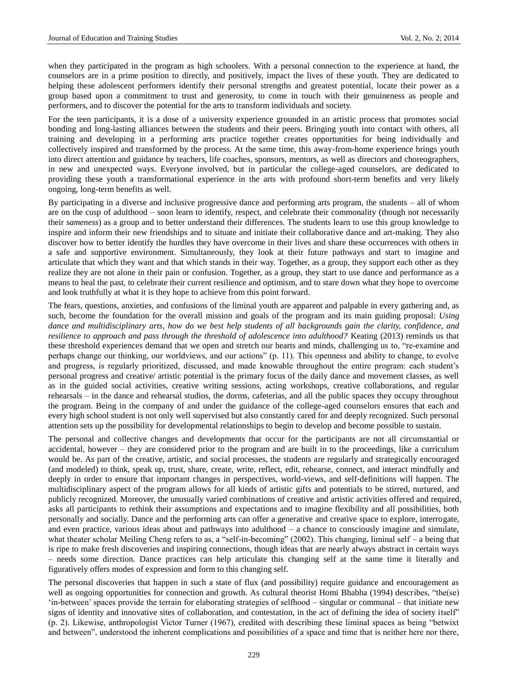when they participated in the program as high schoolers. With a personal connection to the experience at hand, the counselors are in a prime position to directly, and positively, impact the lives of these youth. They are dedicated to helping these adolescent performers identify their personal strengths and greatest potential, locate their power as a group based upon a commitment to trust and generosity, to come in touch with their genuineness as people and performers, and to discover the potential for the arts to transform individuals and society.

For the teen participants, it is a dose of a university experience grounded in an artistic process that promotes social bonding and long-lasting alliances between the students and their peers. Bringing youth into contact with others, all training and developing in a performing arts practice together creates opportunities for being individually and collectively inspired and transformed by the process. At the same time, this away-from-home experience brings youth into direct attention and guidance by teachers, life coaches, sponsors, mentors, as well as directors and choreographers, in new and unexpected ways. Everyone involved, but in particular the college-aged counselors, are dedicated to providing these youth a transformational experience in the arts with profound short-term benefits and very likely ongoing, long-term benefits as well.

By participating in a diverse and inclusive progressive dance and performing arts program, the students – all of whom are on the cusp of adulthood – soon learn to identify, respect, and celebrate their commonality (though not necessarily their *sameness*) as a group and to better understand their differences. The students learn to use this group knowledge to inspire and inform their new friendships and to situate and initiate their collaborative dance and art-making. They also discover how to better identify the hurdles they have overcome in their lives and share these occurrences with others in a safe and supportive environment. Simultaneously, they look at their future pathways and start to imagine and articulate that which they want and that which stands in their way. Together, as a group, they support each other as they realize they are not alone in their pain or confusion. Together, as a group, they start to use dance and performance as a means to heal the past, to celebrate their current resilience and optimism, and to stare down what they hope to overcome and look truthfully at what it is they hope to achieve from this point forward.

The fears, questions, anxieties, and confusions of the liminal youth are apparent and palpable in every gathering and, as such, become the foundation for the overall mission and goals of the program and its main guiding proposal: *Using dance and multidisciplinary arts, how do we best help students of all backgrounds gain the clarity, confidence, and resilience to approach and pass through the threshold of adolescence into adulthood?* Keating (2013) reminds us that these threshold experiences demand that we open and stretch our hearts and minds, challenging us to, "re-examine and perhaps change our thinking, our worldviews, and our actions‖ (p. 11). This openness and ability to change, to evolve and progress, is regularly prioritized, discussed, and made knowable throughout the entire program: each student's personal progress and creative/ artistic potential is the primary focus of the daily dance and movement classes, as well as in the guided social activities, creative writing sessions, acting workshops, creative collaborations, and regular rehearsals – in the dance and rehearsal studios, the dorms, cafeterias, and all the public spaces they occupy throughout the program. Being in the company of and under the guidance of the college-aged counselors ensures that each and every high school student is not only well supervised but also constantly cared for and deeply recognized. Such personal attention sets up the possibility for developmental relationships to begin to develop and become possible to sustain.

The personal and collective changes and developments that occur for the participants are not all circumstantial or accidental, however – they are considered prior to the program and are built in to the proceedings, like a curriculum would be. As part of the creative, artistic, and social processes, the students are regularly and strategically encouraged (and modeled) to think, speak up, trust, share, create, write, reflect, edit, rehearse, connect, and interact mindfully and deeply in order to ensure that important changes in perspectives, world-views, and self-definitions will happen. The multidisciplinary aspect of the program allows for all kinds of artistic gifts and potentials to be stirred, nurtured, and publicly recognized. Moreover, the unusually varied combinations of creative and artistic activities offered and required, asks all participants to rethink their assumptions and expectations and to imagine flexibility and all possibilities, both personally and socially. Dance and the performing arts can offer a generative and creative space to explore, interrogate, and even practice, various ideas about and pathways into adulthood – a chance to consciously imagine and simulate, what theater scholar Meiling Cheng refers to as, a "self-in-becoming" (2002). This changing, liminal self – a being that is ripe to make fresh discoveries and inspiring connections, though ideas that are nearly always abstract in certain ways – needs some direction. Dance practices can help articulate this changing self at the same time it literally and figuratively offers modes of expression and form to this changing self.

The personal discoveries that happen in such a state of flux (and possibility) require guidance and encouragement as well as ongoing opportunities for connection and growth. As cultural theorist Homi Bhabha (1994) describes, "the(se) ‗in-between' spaces provide the terrain for elaborating strategies of selfhood – singular or communal – that initiate new signs of identity and innovative sites of collaboration, and contestation, in the act of defining the idea of society itself"  $(p. 2)$ . Likewise, anthropologist Victor Turner (1967), credited with describing these liminal spaces as being "betwixt and between", understood the inherent complications and possibilities of a space and time that is neither here nor there,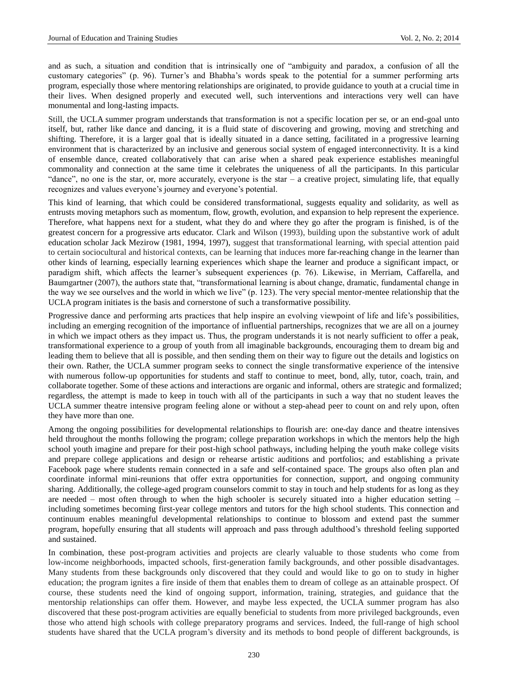and as such, a situation and condition that is intrinsically one of "ambiguity and paradox, a confusion of all the customary categories‖ (p. 96). Turner's and Bhabha's words speak to the potential for a summer performing arts program, especially those where mentoring relationships are originated, to provide guidance to youth at a crucial time in their lives. When designed properly and executed well, such interventions and interactions very well can have monumental and long-lasting impacts.

Still, the UCLA summer program understands that transformation is not a specific location per se, or an end-goal unto itself, but, rather like dance and dancing, it is a fluid state of discovering and growing, moving and stretching and shifting. Therefore, it is a larger goal that is ideally situated in a dance setting, facilitated in a progressive learning environment that is characterized by an inclusive and generous social system of engaged interconnectivity. It is a kind of ensemble dance, created collaboratively that can arise when a shared peak experience establishes meaningful commonality and connection at the same time it celebrates the uniqueness of all the participants. In this particular "dance", no one is the star, or, more accurately, everyone is the star  $-$  a creative project, simulating life, that equally recognizes and values everyone's journey and everyone's potential.

This kind of learning, that which could be considered transformational, suggests equality and solidarity, as well as entrusts moving metaphors such as momentum, flow, growth, evolution, and expansion to help represent the experience. Therefore, what happens next for a student, what they do and where they go after the program is finished, is of the greatest concern for a progressive arts educator. Clark and Wilson (1993), building upon the substantive work of adult education scholar Jack Mezirow (1981, 1994, 1997), suggest that transformational learning, with special attention paid to certain sociocultural and historical contexts, can be learning that induces more far-reaching change in the learner than other kinds of learning, especially learning experiences which shape the learner and produce a significant impact, or paradigm shift, which affects the learner's subsequent experiences (p. 76). Likewise, in Merriam, Caffarella, and Baumgartner (2007), the authors state that, "transformational learning is about change, dramatic, fundamental change in the way we see ourselves and the world in which we live" (p. 123). The very special mentor-mentee relationship that the UCLA program initiates is the basis and cornerstone of such a transformative possibility.

Progressive dance and performing arts practices that help inspire an evolving viewpoint of life and life's possibilities, including an emerging recognition of the importance of influential partnerships, recognizes that we are all on a journey in which we impact others as they impact us. Thus, the program understands it is not nearly sufficient to offer a peak, transformational experience to a group of youth from all imaginable backgrounds, encouraging them to dream big and leading them to believe that all is possible, and then sending them on their way to figure out the details and logistics on their own. Rather, the UCLA summer program seeks to connect the single transformative experience of the intensive with numerous follow-up opportunities for students and staff to continue to meet, bond, ally, tutor, coach, train, and collaborate together. Some of these actions and interactions are organic and informal, others are strategic and formalized; regardless, the attempt is made to keep in touch with all of the participants in such a way that no student leaves the UCLA summer theatre intensive program feeling alone or without a step-ahead peer to count on and rely upon, often they have more than one.

Among the ongoing possibilities for developmental relationships to flourish are: one-day dance and theatre intensives held throughout the months following the program; college preparation workshops in which the mentors help the high school youth imagine and prepare for their post-high school pathways, including helping the youth make college visits and prepare college applications and design or rehearse artistic auditions and portfolios; and establishing a private Facebook page where students remain connected in a safe and self-contained space. The groups also often plan and coordinate informal mini-reunions that offer extra opportunities for connection, support, and ongoing community sharing. Additionally, the college-aged program counselors commit to stay in touch and help students for as long as they are needed – most often through to when the high schooler is securely situated into a higher education setting – including sometimes becoming first-year college mentors and tutors for the high school students. This connection and continuum enables meaningful developmental relationships to continue to blossom and extend past the summer program, hopefully ensuring that all students will approach and pass through adulthood's threshold feeling supported and sustained.

In combination, these post-program activities and projects are clearly valuable to those students who come from low-income neighborhoods, impacted schools, first-generation family backgrounds, and other possible disadvantages. Many students from these backgrounds only discovered that they could and would like to go on to study in higher education; the program ignites a fire inside of them that enables them to dream of college as an attainable prospect. Of course, these students need the kind of ongoing support, information, training, strategies, and guidance that the mentorship relationships can offer them. However, and maybe less expected, the UCLA summer program has also discovered that these post-program activities are equally beneficial to students from more privileged backgrounds, even those who attend high schools with college preparatory programs and services. Indeed, the full-range of high school students have shared that the UCLA program's diversity and its methods to bond people of different backgrounds, is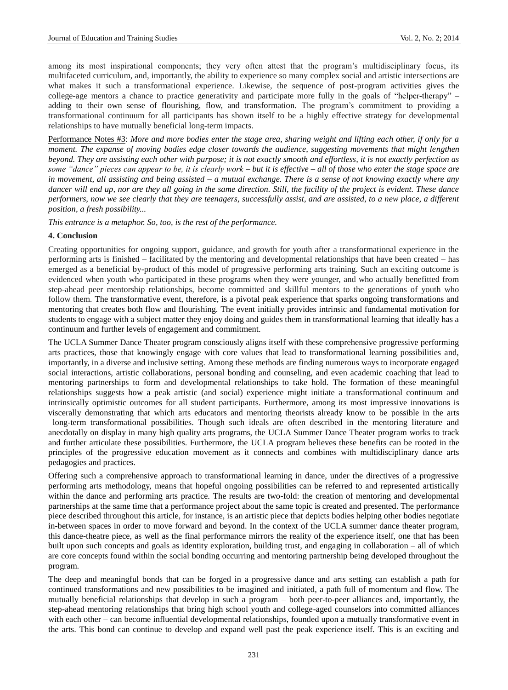among its most inspirational components; they very often attest that the program's multidisciplinary focus, its multifaceted curriculum, and, importantly, the ability to experience so many complex social and artistic intersections are what makes it such a transformational experience. Likewise, the sequence of post-program activities gives the college-age mentors a chance to practice generativity and participate more fully in the goals of "helper-therapy" – adding to their own sense of flourishing, flow, and transformation. The program's commitment to providing a transformational continuum for all participants has shown itself to be a highly effective strategy for developmental relationships to have mutually beneficial long-term impacts.

Performance Notes #3: *More and more bodies enter the stage area, sharing weight and lifting each other, if only for a moment. The expanse of moving bodies edge closer towards the audience, suggesting movements that might lengthen beyond. They are assisting each other with purpose; it is not exactly smooth and effortless, it is not exactly perfection as some "dance" pieces can appear to be, it is clearly work – but it is effective – all of those who enter the stage space are in movement, all assisting and being assisted – a mutual exchange. There is a sense of not knowing exactly where any dancer will end up, nor are they all going in the same direction. Still, the facility of the project is evident. These dance performers, now we see clearly that they are teenagers, successfully assist, and are assisted, to a new place, a different position, a fresh possibility...* 

*This entrance is a metaphor. So, too, is the rest of the performance.*

#### **4. Conclusion**

Creating opportunities for ongoing support, guidance, and growth for youth after a transformational experience in the performing arts is finished – facilitated by the mentoring and developmental relationships that have been created – has emerged as a beneficial by-product of this model of progressive performing arts training. Such an exciting outcome is evidenced when youth who participated in these programs when they were younger, and who actually benefitted from step-ahead peer mentorship relationships, become committed and skillful mentors to the generations of youth who follow them. The transformative event, therefore, is a pivotal peak experience that sparks ongoing transformations and mentoring that creates both flow and flourishing. The event initially provides intrinsic and fundamental motivation for students to engage with a subject matter they enjoy doing and guides them in transformational learning that ideally has a continuum and further levels of engagement and commitment.

The UCLA Summer Dance Theater program consciously aligns itself with these comprehensive progressive performing arts practices, those that knowingly engage with core values that lead to transformational learning possibilities and, importantly, in a diverse and inclusive setting. Among these methods are finding numerous ways to incorporate engaged social interactions, artistic collaborations, personal bonding and counseling, and even academic coaching that lead to mentoring partnerships to form and developmental relationships to take hold. The formation of these meaningful relationships suggests how a peak artistic (and social) experience might initiate a transformational continuum and intrinsically optimistic outcomes for all student participants. Furthermore, among its most impressive innovations is viscerally demonstrating that which arts educators and mentoring theorists already know to be possible in the arts –long-term transformational possibilities. Though such ideals are often described in the mentoring literature and anecdotally on display in many high quality arts programs, the UCLA Summer Dance Theater program works to track and further articulate these possibilities. Furthermore, the UCLA program believes these benefits can be rooted in the principles of the progressive education movement as it connects and combines with multidisciplinary dance arts pedagogies and practices.

Offering such a comprehensive approach to transformational learning in dance, under the directives of a progressive performing arts methodology, means that hopeful ongoing possibilities can be referred to and represented artistically within the dance and performing arts practice. The results are two-fold: the creation of mentoring and developmental partnerships at the same time that a performance project about the same topic is created and presented. The performance piece described throughout this article, for instance, is an artistic piece that depicts bodies helping other bodies negotiate in-between spaces in order to move forward and beyond. In the context of the UCLA summer dance theater program, this dance-theatre piece, as well as the final performance mirrors the reality of the experience itself, one that has been built upon such concepts and goals as identity exploration, building trust, and engaging in collaboration – all of which are core concepts found within the social bonding occurring and mentoring partnership being developed throughout the program.

The deep and meaningful bonds that can be forged in a progressive dance and arts setting can establish a path for continued transformations and new possibilities to be imagined and initiated, a path full of momentum and flow. The mutually beneficial relationships that develop in such a program – both peer-to-peer alliances and, importantly, the step-ahead mentoring relationships that bring high school youth and college-aged counselors into committed alliances with each other – can become influential developmental relationships, founded upon a mutually transformative event in the arts. This bond can continue to develop and expand well past the peak experience itself. This is an exciting and